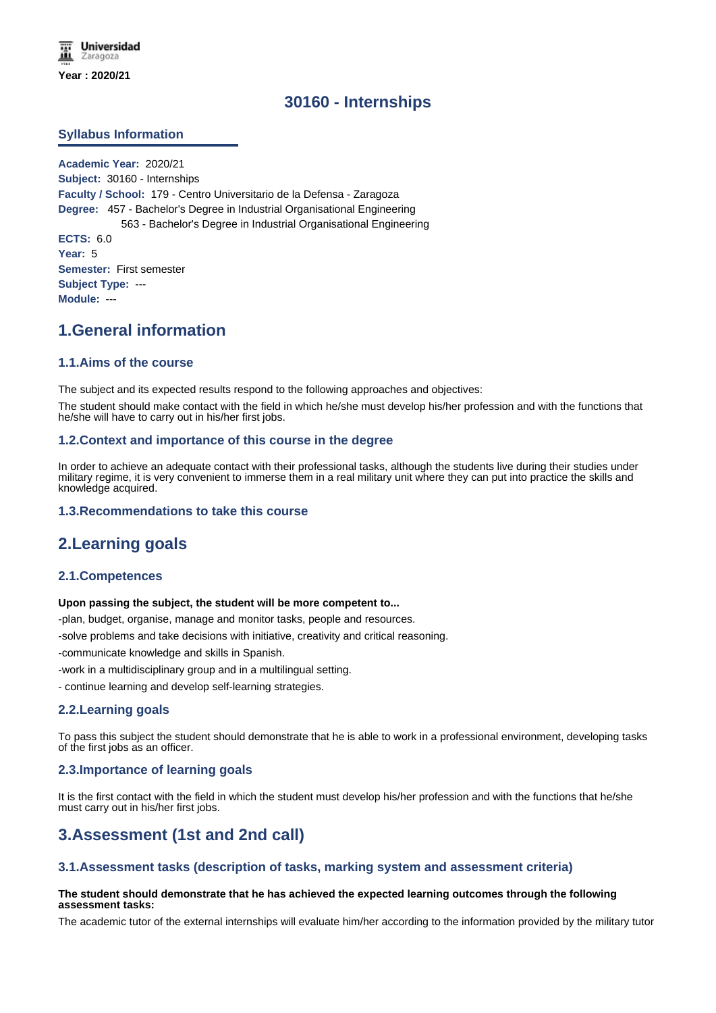# **30160 - Internships**

### **Syllabus Information**

**Academic Year:** 2020/21 **Subject:** 30160 - Internships **Faculty / School:** 179 - Centro Universitario de la Defensa - Zaragoza **Degree:** 457 - Bachelor's Degree in Industrial Organisational Engineering 563 - Bachelor's Degree in Industrial Organisational Engineering **ECTS:** 6.0 **Year:** 5 **Semester:** First semester **Subject Type:** --- **Module:** ---

# **1.General information**

### **1.1.Aims of the course**

The subject and its expected results respond to the following approaches and objectives:

The student should make contact with the field in which he/she must develop his/her profession and with the functions that he/she will have to carry out in his/her first jobs.

#### **1.2.Context and importance of this course in the degree**

In order to achieve an adequate contact with their professional tasks, although the students live during their studies under military regime, it is very convenient to immerse them in a real military unit where they can put into practice the skills and knowledge acquired.

#### **1.3.Recommendations to take this course**

# **2.Learning goals**

#### **2.1.Competences**

#### **Upon passing the subject, the student will be more competent to...**

-plan, budget, organise, manage and monitor tasks, people and resources.

-solve problems and take decisions with initiative, creativity and critical reasoning.

-communicate knowledge and skills in Spanish.

-work in a multidisciplinary group and in a multilingual setting.

- continue learning and develop self-learning strategies.

#### **2.2.Learning goals**

To pass this subject the student should demonstrate that he is able to work in a professional environment, developing tasks of the first jobs as an officer.

#### **2.3.Importance of learning goals**

It is the first contact with the field in which the student must develop his/her profession and with the functions that he/she must carry out in his/her first jobs.

# **3.Assessment (1st and 2nd call)**

#### **3.1.Assessment tasks (description of tasks, marking system and assessment criteria)**

#### **The student should demonstrate that he has achieved the expected learning outcomes through the following assessment tasks:**

The academic tutor of the external internships will evaluate him/her according to the information provided by the military tutor